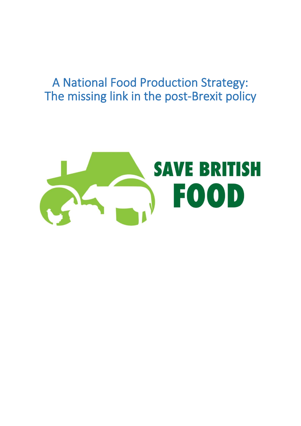# A National Food Production Strategy: The missing link in the post-Brexit policy

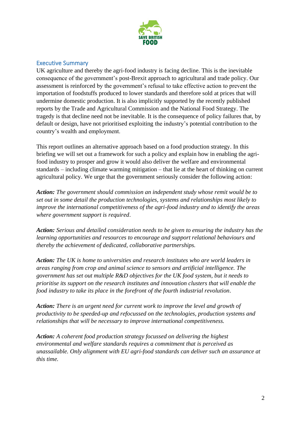

### Executive Summary

UK agriculture and thereby the agri-food industry is facing decline. This is the inevitable consequence of the government's post-Brexit approach to agricultural and trade policy. Our assessment is reinforced by the government's refusal to take effective action to prevent the importation of foodstuffs produced to lower standards and therefore sold at prices that will undermine domestic production. It is also implicitly supported by the recently published reports by the Trade and Agricultural Commission and the National Food Strategy. The tragedy is that decline need not be inevitable. It is the consequence of policy failures that, by default or design, have not prioritised exploiting the industry's potential contribution to the country's wealth and employment.

This report outlines an alternative approach based on a food production strategy. In this briefing we will set out a framework for such a policy and explain how in enabling the agrifood industry to prosper and grow it would also deliver the welfare and environmental standards – including climate warming mitigation – that lie at the heart of thinking on current agricultural policy. We urge that the government seriously consider the following action:

*Action: The government should commission an independent study whose remit would be to set out in some detail the production technologies, systems and relationships most likely to improve the international competitiveness of the agri-food industry and to identify the areas where government support is required*.

*Action: Serious and detailed consideration needs to be given to ensuring the industry has the learning opportunities and resources to encourage and support relational behaviours and thereby the achievement of dedicated, collaborative partnerships.*

*Action: The UK is home to universities and research institutes who are world leaders in areas ranging from crop and animal science to sensors and artificial intelligence. The government has set out multiple R&D objectives for the UK food system, but it needs to prioritise its support on the research institutes and innovation clusters that will enable the food industry to take its place in the forefront of the fourth industrial revolution*.

*Action: There is an urgent need for current work to improve the level and growth of productivity to be speeded-up and refocussed on the technologies, production systems and relationships that will be necessary to improve international competitiveness.*

*Action: A coherent food production strategy focussed on delivering the highest environmental and welfare standards requires a commitment that is perceived as unassailable. Only alignment with EU agri-food standards can deliver such an assurance at this time.*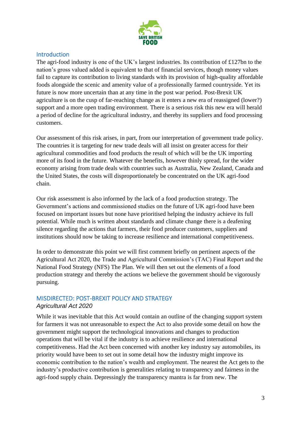

#### Introduction

The agri-food industry is one of the UK's largest industries. Its contribution of £127bn to the nation's gross valued added is equivalent to that of financial services, though money values fail to capture its contribution to living standards with its provision of high-quality affordable foods alongside the scenic and amenity value of a professionally farmed countryside. Yet its future is now more uncertain than at any time in the post war period. Post-Brexit UK agriculture is on the cusp of far-reaching change as it enters a new era of reassigned (lower?) support and a more open trading environment. There is a serious risk this new era will herald a period of decline for the agricultural industry, and thereby its suppliers and food processing customers.

Our assessment of this risk arises, in part, from our interpretation of government trade policy. The countries it is targeting for new trade deals will all insist on greater access for their agricultural commodities and food products the result of which will be the UK importing more of its food in the future. Whatever the benefits, however thinly spread, for the wider economy arising from trade deals with countries such as Australia, New Zealand, Canada and the United States, the costs will disproportionately be concentrated on the UK agri-food chain.

Our risk assessment is also informed by the lack of a food production strategy. The Government's actions and commissioned studies on the future of UK agri-food have been focused on important issues but none have prioritised helping the industry achieve its full potential. While much is written about standards and climate change there is a deafening silence regarding the actions that farmers, their food producer customers, suppliers and institutions should now be taking to increase resilience and international competitiveness.

In order to demonstrate this point we will first comment briefly on pertinent aspects of the Agricultural Act 2020, the Trade and Agricultural Commission's (TAC) Final Report and the National Food Strategy (NFS) The Plan. We will then set out the elements of a food production strategy and thereby the actions we believe the government should be vigorously pursuing.

### MISDIRECTED: POST-BREXIT POLICY AND STRATEGY *Agricultural Act 2020*

While it was inevitable that this Act would contain an outline of the changing support system for farmers it was not unreasonable to expect the Act to also provide some detail on how the government might support the technological innovations and changes to production operations that will be vital if the industry is to achieve resilience and international competitiveness. Had the Act been concerned with another key industry say automobiles, its priority would have been to set out in some detail how the industry might improve its economic contribution to the nation's wealth and employment. The nearest the Act gets to the industry's productive contribution is generalities relating to transparency and fairness in the agri-food supply chain. Depressingly the transparency mantra is far from new. The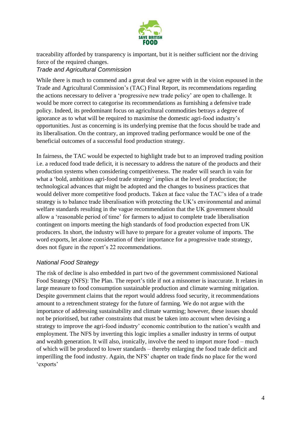

traceability afforded by transparency is important, but it is neither sufficient nor the driving force of the required changes.

#### *Trade and Agricultural Commission*

While there is much to commend and a great deal we agree with in the vision espoused in the Trade and Agricultural Commission's (TAC) Final Report, its recommendations regarding the actions necessary to deliver a 'progressive new trade policy' are open to challenge. It would be more correct to categorise its recommendations as furnishing a defensive trade policy. Indeed, its predominant focus on agricultural commodities betrays a degree of ignorance as to what will be required to maximise the domestic agri-food industry's opportunities. Just as concerning is its underlying premise that the focus should be trade and its liberalisation. On the contrary, an improved trading performance would be one of the beneficial outcomes of a successful food production strategy.

In fairness, the TAC would be expected to highlight trade but to an improved trading position i.e. a reduced food trade deficit, it is necessary to address the nature of the products and their production systems when considering competitiveness. The reader will search in vain for what a 'bold, ambitious agri-food trade strategy' implies at the level of production; the technological advances that might be adopted and the changes to business practices that would deliver more competitive food products. Taken at face value the TAC's idea of a trade strategy is to balance trade liberalisation with protecting the UK's environmental and animal welfare standards resulting in the vague recommendation that the UK government should allow a 'reasonable period of time' for farmers to adjust to complete trade liberalisation contingent on imports meeting the high standards of food production expected from UK producers. In short, the industry will have to prepare for a greater volume of imports. The word exports, let alone consideration of their importance for a progressive trade strategy, does not figure in the report's 22 recommendations.

### *National Food Strategy*

The risk of decline is also embedded in part two of the government commissioned National Food Strategy (NFS): The Plan. The report's title if not a misnomer is inaccurate. It relates in large measure to food consumption sustainable production and climate warming mitigation. Despite government claims that the report would address food security, it recommendations amount to a retrenchment strategy for the future of farming. We do not argue with the importance of addressing sustainability and climate warming; however, these issues should not be prioritised, but rather constraints that must be taken into account when devising a strategy to improve the agri-food industry' economic contribution to the nation's wealth and employment. The NFS by inverting this logic implies a smaller industry in terms of output and wealth generation. It will also, ironically, involve the need to import more food – much of which will be produced to lower standards – thereby enlarging the food trade deficit and imperilling the food industry. Again, the NFS' chapter on trade finds no place for the word 'exports'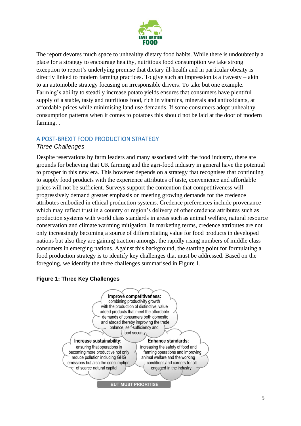

The report devotes much space to unhealthy dietary food habits. While there is undoubtedly a place for a strategy to encourage healthy, nutritious food consumption we take strong exception to report's underlying premise that dietary ill-health and in particular obesity is directly linked to modern farming practices. To give such an impression is a travesty – akin to an automobile strategy focusing on irresponsible drivers. To take but one example. Farming's ability to steadily increase potato yields ensures that consumers have plentiful supply of a stable, tasty and nutritious food, rich in vitamins, minerals and antioxidants, at affordable prices while minimising land use demands. If some consumers adopt unhealthy consumption patterns when it comes to potatoes this should not be laid at the door of modern farming. .

## A POST-BREXIT FOOD PRODUCTION STRATEGY

### *Three Challenges*

Despite reservations by farm leaders and many associated with the food industry, there are grounds for believing that UK farming and the agri-food industry in general have the potential to prosper in this new era. This however depends on a strategy that recognises that continuing to supply food products with the experience attributes of taste, convenience and affordable prices will not be sufficient. Surveys support the contention that competitiveness will progressively demand greater emphasis on meeting growing demands for the credence attributes embodied in ethical production systems. Credence preferences include provenance which may reflect trust in a country or region's delivery of other credence attributes such as production systems with world class standards in areas such as animal welfare, natural resource conservation and climate warming mitigation. In marketing terms, credence attributes are not only increasingly becoming a source of differentiating value for food products in developed nations but also they are gaining traction amongst the rapidly rising numbers of middle class consumers in emerging nations. Against this background, the starting point for formulating a food production strategy is to identify key challenges that must be addressed. Based on the foregoing, we identify the three challenges summarised in Figure 1.

#### **Figure 1: Three Key Challenges**

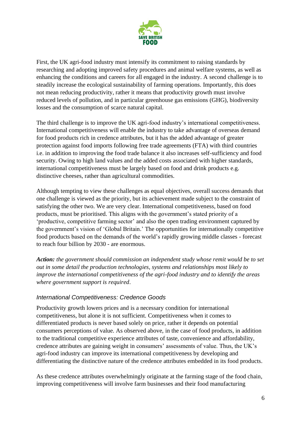

First, the UK agri-food industry must intensify its commitment to raising standards by researching and adopting improved safety procedures and animal welfare systems, as well as enhancing the conditions and careers for all engaged in the industry. A second challenge is to steadily increase the ecological sustainability of farming operations. Importantly, this does not mean reducing productivity, rather it means that productivity growth must involve reduced levels of pollution, and in particular greenhouse gas emissions (GHG), biodiversity losses and the consumption of scarce natural capital.

The third challenge is to improve the UK agri-food industry's international competitiveness. International competitiveness will enable the industry to take advantage of overseas demand for food products rich in credence attributes, but it has the added advantage of greater protection against food imports following free trade agreements (FTA) with third countries i.e. in addition to improving the food trade balance it also increases self-sufficiency and food security. Owing to high land values and the added costs associated with higher standards, international competitiveness must be largely based on food and drink products e.g. distinctive cheeses, rather than agricultural commodities.

Although tempting to view these challenges as equal objectives, overall success demands that one challenge is viewed as the priority, but its achievement made subject to the constraint of satisfying the other two. We are very clear. International competitiveness, based on food products, must be prioritised. This aligns with the government's stated priority of a 'productive, competitive farming sector' and also the open trading environment captured by the government's vision of 'Global Britain.' The opportunities for internationally competitive food products based on the demands of the world's rapidly growing middle classes - forecast to reach four billion by 2030 - are enormous.

*Action: the government should commission an independent study whose remit would be to set out in some detail the production technologies, systems and relationships most likely to improve the international competitiveness of the agri-food industry and to identify the areas where government support is required*.

### *International Competitiveness: Credence Goods*

Productivity growth lowers prices and is a necessary condition for international competitiveness, but alone it is not sufficient. Competitiveness when it comes to differentiated products is never based solely on price, rather it depends on potential consumers perceptions of value. As observed above, in the case of food products, in addition to the traditional competitive experience attributes of taste, convenience and affordability, credence attributes are gaining weight in consumers' assessments of value. Thus, the UK's agri-food industry can improve its international competitiveness by developing and differentiating the distinctive nature of the credence attributes embedded in its food products.

As these credence attributes overwhelmingly originate at the farming stage of the food chain, improving competitiveness will involve farm businesses and their food manufacturing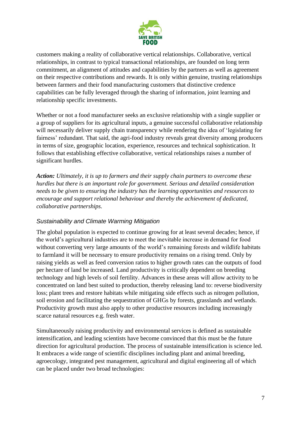

customers making a reality of collaborative vertical relationships. Collaborative, vertical relationships, in contrast to typical transactional relationships, are founded on long term commitment, an alignment of attitudes and capabilities by the partners as well as agreement on their respective contributions and rewards. It is only within genuine, trusting relationships between farmers and their food manufacturing customers that distinctive credence capabilities can be fully leveraged through the sharing of information, joint learning and relationship specific investments.

Whether or not a food manufacturer seeks an exclusive relationship with a single supplier or a group of suppliers for its agricultural inputs, a genuine successful collaborative relationship will necessarily deliver supply chain transparency while rendering the idea of 'legislating for fairness' redundant. That said, the agri-food industry reveals great diversity among producers in terms of size, geographic location, experience, resources and technical sophistication. It follows that establishing effective collaborative, vertical relationships raises a number of significant hurdles.

*Action: Ultimately, it is up to farmers and their supply chain partners to overcome these hurdles but there is an important role for government. Serious and detailed consideration needs to be given to ensuring the industry has the learning opportunities and resources to encourage and support relational behaviour and thereby the achievement of dedicated, collaborative partnerships.*

### *Sustainability and Climate Warming Mitigation*

The global population is expected to continue growing for at least several decades; hence, if the world's agricultural industries are to meet the inevitable increase in demand for food without converting very large amounts of the world's remaining forests and wildlife habitats to farmland it will be necessary to ensure productivity remains on a rising trend. Only by raising yields as well as feed conversion ratios to higher growth rates can the outputs of food per hectare of land be increased. Land productivity is critically dependent on breeding technology and high levels of soil fertility. Advances in these areas will allow activity to be concentrated on land best suited to production, thereby releasing land to: reverse biodiversity loss; plant trees and restore habitats while mitigating side effects such as nitrogen pollution, soil erosion and facilitating the sequestration of GHGs by forests, grasslands and wetlands. Productivity growth must also apply to other productive resources including increasingly scarce natural resources e.g. fresh water.

Simultaneously raising productivity and environmental services is defined as sustainable intensification, and leading scientists have become convinced that this must be the future direction for agricultural production. The process of sustainable intensification is science led. It embraces a wide range of scientific disciplines including plant and animal breeding, agroecology, integrated pest management, agricultural and digital engineering all of which can be placed under two broad technologies: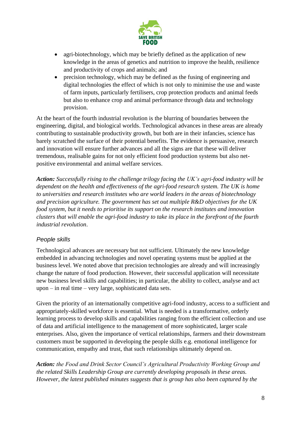

- agri-biotechnology, which may be briefly defined as the application of new knowledge in the areas of genetics and nutrition to improve the health, resilience and productivity of crops and animals; and
- precision technology, which may be defined as the fusing of engineering and digital technologies the effect of which is not only to minimise the use and waste of farm inputs, particularly fertilisers, crop protection products and animal feeds but also to enhance crop and animal performance through data and technology provision.

At the heart of the fourth industrial revolution is the blurring of boundaries between the engineering, digital, and biological worlds. Technological advances in these areas are already contributing to sustainable productivity growth, but both are in their infancies, science has barely scratched the surface of their potential benefits. The evidence is persuasive, research and innovation will ensure further advances and all the signs are that these will deliver tremendous, realisable gains for not only efficient food production systems but also netpositive environmental and animal welfare services.

*Action: Successfully rising to the challenge trilogy facing the UK's agri-food industry will be dependent on the health and effectiveness of the agri-food research system. The UK is home to universities and research institutes who are world leaders in the areas of biotechnology and precision agriculture. The government has set out multiple R&D objectives for the UK food system, but it needs to prioritise its support on the research institutes and innovation clusters that will enable the agri-food industry to take its place in the forefront of the fourth industrial revolution*.

### *People skills*

Technological advances are necessary but not sufficient. Ultimately the new knowledge embedded in advancing technologies and novel operating systems must be applied at the business level. We noted above that precision technologies are already and will increasingly change the nature of food production. However, their successful application will necessitate new business level skills and capabilities; in particular, the ability to collect, analyse and act upon – in real time – very large, sophisticated data sets.

Given the priority of an internationally competitive agri-food industry, access to a sufficient and appropriately-skilled workforce is essential. What is needed is a transformative, orderly learning process to develop skills and capabilities ranging from the efficient collection and use of data and artificial intelligence to the management of more sophisticated, larger scale enterprises. Also, given the importance of vertical relationships, farmers and their downstream customers must be supported in developing the people skills e.g. emotional intelligence for communication, empathy and trust, that such relationships ultimately depend on.

*Action: the Food and Drink Sector Council's Agricultural Productivity Working Group and the related Skills Leadership Group are currently developing proposals in these areas. However, the latest published minutes suggests that is group has also been captured by the*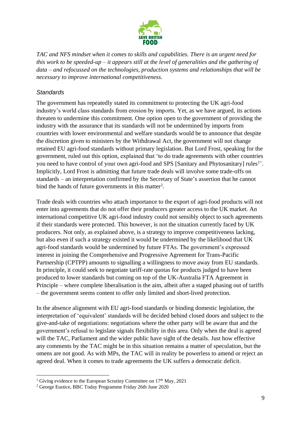

*TAC and NFS mindset when it comes to skills and capabilities. There is an urgent need for this work to be speeded-up – it appears still at the level of generalities and the gathering of data – and refocussed on the technologies, production systems and relationships that will be necessary to improve international competitiveness.*

#### *Standards*

The government has repeatedly stated its commitment to protecting the UK agri-food industry's world class standards from erosion by imports. Yet, as we have argued, its actions threaten to undermine this commitment. One option open to the government of providing the industry with the assurance that its standards will not be undermined by imports from countries with lower environmental and welfare standards would be to announce that despite the discretion given to ministers by the Withdrawal Act, the government will not change retained EU agri-food standards without primary legislation. But Lord Frost, speaking for the government, ruled out this option, explained that 'to do trade agreements with other countries you need to have control of your own agri-food and SPS [Sanitary and Phytosanitary] rules<sup>1</sup>'. Implicitly, Lord Frost is admitting that future trade deals will involve some trade-offs on standards – an interpretation confirmed by the Secretary of State's assertion that he cannot bind the hands of future governments in this matter<sup>2</sup>.

Trade deals with countries who attach importance to the export of agri-food products will not enter into agreements that do not offer their producers greater access to the UK market. An international competitive UK agri-food industry could not sensibly object to such agreements if their standards were protected. This however, is not the situation currently faced by UK producers. Not only, as explained above, is a strategy to improve competitiveness lacking, but also even if such a strategy existed it would be undermined by the likelihood that UK agri-food standards would be undermined by future FTAs. The government's expressed interest in joining the Comprehensive and Progressive Agreement for Trans-Pacific Partnership (CPTPP) amounts to signalling a willingness to move away from EU standards. In principle, it could seek to negotiate tariff-rate quotas for products judged to have been produced to lower standards but coming on top of the UK-Australia FTA Agreement in Principle – where complete liberalisation is the aim, albeit after a staged phasing out of tariffs – the government seems content to offer only limited and short-lived protection.

In the absence alignment with EU agri-food standards or binding domestic legislation, the interpretation of 'equivalent' standards will be decided behind closed doors and subject to the give-and-take of negotiations: negotiations where the other party will be aware that and the government's refusal to legislate signals flexibility in this area. Only when the deal is agreed will the TAC, Parliament and the wider public have sight of the details. Just how effective any comments by the TAC might be in this situation remains a matter of speculation, but the omens are not good. As with MPs, the TAC will in reality be powerless to amend or reject an agreed deal. When it comes to trade agreements the UK suffers a democratic deficit.

<sup>&</sup>lt;sup>1</sup> Giving evidence to the European Scrutiny Committee on  $17<sup>th</sup>$  May, 2021

<sup>2</sup> George Eustice, BBC Today Programme Friday 26th June 2020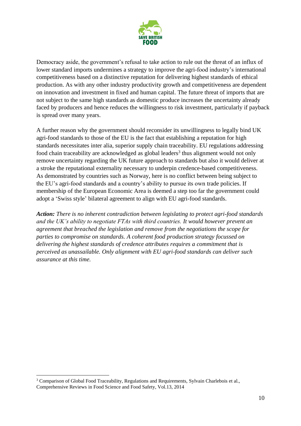

Democracy aside, the government's refusal to take action to rule out the threat of an influx of lower standard imports undermines a strategy to improve the agri-food industry's international competitiveness based on a distinctive reputation for delivering highest standards of ethical production. As with any other industry productivity growth and competitiveness are dependent on innovation and investment in fixed and human capital. The future threat of imports that are not subject to the same high standards as domestic produce increases the uncertainty already faced by producers and hence reduces the willingness to risk investment, particularly if payback is spread over many years.

A further reason why the government should reconsider its unwillingness to legally bind UK agri-food standards to those of the EU is the fact that establishing a reputation for high standards necessitates inter alia, superior supply chain traceability. EU regulations addressing food chain traceability are acknowledged as global leaders<sup>3</sup> thus alignment would not only remove uncertainty regarding the UK future approach to standards but also it would deliver at a stroke the reputational externality necessary to underpin credence-based competitiveness. As demonstrated by countries such as Norway, here is no conflict between being subject to the EU's agri-food standards and a country's ability to pursue its own trade policies. If membership of the European Economic Area is deemed a step too far the government could adopt a 'Swiss style' bilateral agreement to align with EU agri-food standards.

*Action: There is no inherent contradiction between legislating to protect agri-food standards and the UK's ability to negotiate FTAs with third countries. It would however prevent an agreement that breached the legislation and remove from the negotiations the scope for parties to compromise on standards. A coherent food production strategy focussed on delivering the highest standards of credence attributes requires a commitment that is perceived as unassailable. Only alignment with EU agri-food standards can deliver such assurance at this time.*

<sup>&</sup>lt;sup>3</sup> Comparison of Global Food Traceability, Regulations and Requirements, Sylvain Charlebois et al., Comprehensive Reviews in Food Science and Food Safety, Vol.13, 2014